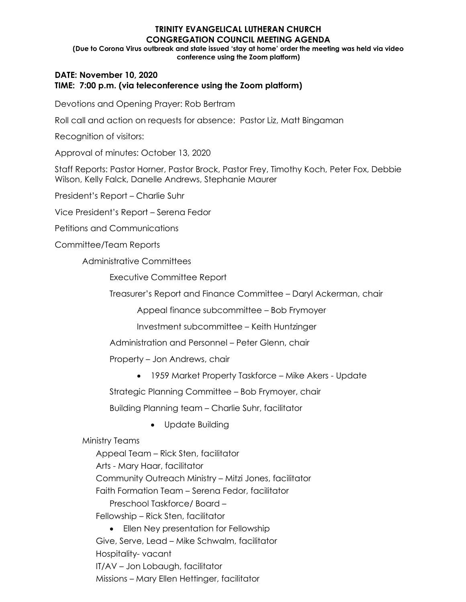### **TRINITY EVANGELICAL LUTHERAN CHURCH CONGREGATION COUNCIL MEETING AGENDA (Due to Corona Virus outbreak and state issued 'stay at home' order the meeting was held via video conference using the Zoom platform)**

# **DATE: November 10, 2020 TIME: 7:00 p.m. (via teleconference using the Zoom platform)**

Devotions and Opening Prayer: Rob Bertram

Roll call and action on requests for absence: Pastor Liz, Matt Bingaman

Recognition of visitors:

Approval of minutes: October 13, 2020

Staff Reports: Pastor Horner, Pastor Brock, Pastor Frey, Timothy Koch, Peter Fox, Debbie Wilson, Kelly Falck, Danelle Andrews, Stephanie Maurer

President's Report – Charlie Suhr

Vice President's Report – Serena Fedor

Petitions and Communications

Committee/Team Reports

Administrative Committees

Executive Committee Report

Treasurer's Report and Finance Committee – Daryl Ackerman, chair

Appeal finance subcommittee – Bob Frymoyer

Investment subcommittee – Keith Huntzinger

Administration and Personnel – Peter Glenn, chair

Property – Jon Andrews, chair

• 1959 Market Property Taskforce – Mike Akers - Update

Strategic Planning Committee – Bob Frymoyer, chair

Building Planning team – Charlie Suhr, facilitator

• Update Building

Ministry Teams

Appeal Team – Rick Sten, facilitator Arts - Mary Haar, facilitator Community Outreach Ministry – Mitzi Jones, facilitator Faith Formation Team – Serena Fedor, facilitator Preschool Taskforce/ Board – Fellowship – Rick Sten, facilitator

• Ellen Ney presentation for Fellowship Give, Serve, Lead – Mike Schwalm, facilitator Hospitality- vacant IT/AV – Jon Lobaugh, facilitator Missions – Mary Ellen Hettinger, facilitator